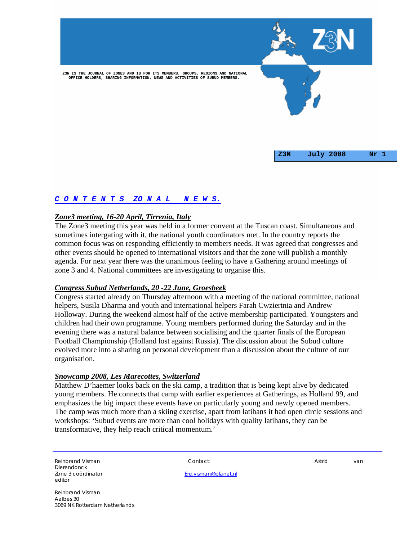

# *C O N T E N T S ZO N A L N E W S.*

## *Zone3 meeting, 16-20 April, Tirrenia, Italy*

The Zone3 meeting this year was held in a former convent at the Tuscan coast. Simultaneous and sometimes intergating with it, the national youth coordinators met. In the country reports the common focus was on responding efficiently to members needs. It was agreed that congresses and other events should be opened to international visitors and that the zone will publish a monthly agenda. For next year there was the unanimous feeling to have a Gathering around meetings of zone 3 and 4. National committees are investigating to organise this.

#### *Congress Subud Netherlands, 20 -22 June, Groesbeek*

Congress started already on Thursday afternoon with a meeting of the national committee, national helpers, Susila Dharma and youth and international helpers Farah Cwziertnia and Andrew Holloway. During the weekend almost half of the active membership participated. Youngsters and children had their own programme. Young members performed during the Saturday and in the evening there was a natural balance between socialising and the quarter finals of the European Football Championship (Holland lost against Russia). The discussion about the Subud culture evolved more into a sharing on personal development than a discussion about the culture of our organisation.

#### *Snowcamp 2008, Les Marecottes, Switzerland*

Matthew D'haemer looks back on the ski camp, a tradition that is being kept alive by dedicated young members. He connects that camp with earlier experiences at Gatherings, as Holland 99, and emphasizes the big impact these events have on particularly young and newly opened members. The camp was much more than a skiing exercise, apart from latihans it had open circle sessions and workshops: 'Subud events are more than cool holidays with quality latihans, they can be transformative, they help reach critical momentum.'

Reinbrand Visman and Contact: Contact: Astronomy Contact: Astronomy Astrid van Dierendonck editor

Zone 3 coördinator Ere.visman@planet.nl

Reinbrand Visman Aalbes 30 3069 NK Rotterdam Netherlands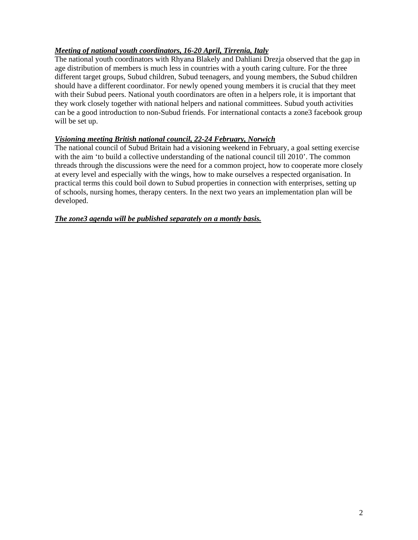# *Meeting of national youth coordinators, 16-20 April, Tirrenia, Italy*

The national youth coordinators with Rhyana Blakely and Dahliani Drezja observed that the gap in age distribution of members is much less in countries with a youth caring culture. For the three different target groups, Subud children, Subud teenagers, and young members, the Subud children should have a different coordinator. For newly opened young members it is crucial that they meet with their Subud peers. National youth coordinators are often in a helpers role, it is important that they work closely together with national helpers and national committees. Subud youth activities can be a good introduction to non-Subud friends. For international contacts a zone3 facebook group will be set up.

# *Visioning meeting British national council, 22-24 February, Norwich*

The national council of Subud Britain had a visioning weekend in February, a goal setting exercise with the aim 'to build a collective understanding of the national council till 2010'. The common threads through the discussions were the need for a common project, how to cooperate more closely at every level and especially with the wings, how to make ourselves a respected organisation. In practical terms this could boil down to Subud properties in connection with enterprises, setting up of schools, nursing homes, therapy centers. In the next two years an implementation plan will be developed.

# *The zone3 agenda will be published separately on a montly basis.*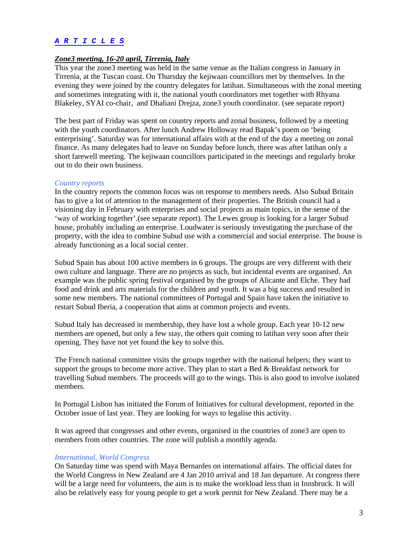## *A R T I C L E S*

## *Zone3 meeting, 16-20 april, Tirrenia, Italy*

This year the zone3 meeting was held in the same venue as the Italian congress in January in Tirrenia, at the Tuscan coast. On Thursday the kejiwaan councillors met by themselves. In the evening they were joined by the country delegates for latihan. Simultaneous with the zonal meeting and sometimes integrating with it, the national youth coordinators met together with Rhyana Blakeley, SYAI co-chair, and Dhaliani Drejza, zone3 youth coordinator. (see separate report)

The best part of Friday was spent on country reports and zonal business, followed by a meeting with the youth coordinators. After lunch Andrew Holloway read Bapak's poem on 'being enterprising'. Saturday was for international affairs with at the end of the day a meeting on zonal finance. As many delegates had to leave on Sunday before lunch, there was after latihan only a short farewell meeting. The kejiwaan councillors participated in the meetings and regularly broke out to do their own business.

#### *Country reports*

In the country reports the common focus was on response to members needs. Also Subud Britain has to give a lot of attention to the management of their properties. The British council had a visioning day in February with enterprises and social projects as main topics, in the sense of the 'way of working together'.(see separate report). The Lewes group is looking for a larger Subud house, probably including an enterprise. Loudwater is seriously investigating the purchase of the property, with the idea to combine Subud use with a commercial and social enterprise. The house is already functioning as a local social center.

Subud Spain has about 100 active members in 6 groups. The groups are very different with their own culture and language. There are no projects as such, but incidental events are organised. An example was the public spring festival organised by the groups of Alicante and Elche. They had food and drink and arts materials for the children and youth. It was a big success and resulted in some new members. The national committees of Portugal and Spain have taken the initiative to restart Subud Iberia, a cooperation that aims at common projects and events.

Subud Italy has decreased in membership, they have lost a whole group. Each year 10-12 new members are opened, but only a few stay, the others quit coming to latihan very soon after their opening. They have not yet found the key to solve this.

The French national committee visits the groups together with the national helpers; they want to support the groups to become more active. They plan to start a Bed & Breakfast network for travelling Subud members. The proceeds will go to the wings. This is also good to involve isolated members.

In Portugal Lisbon has initiated the Forum of Initiatives for cultural development, reported in the October issue of last year. They are looking for ways to legalise this activity.

It was agreed that congresses and other events, organised in the countries of zone3 are open to members from other countries. The zone will publish a monthly agenda.

#### *International, World Congress*

On Saturday time was spend with Maya Bernardes on international affairs. The official dates for the World Congress in New Zealand are 4 Jan 2010 arrival and 18 Jan departure. At congress there will be a large need for volunteers, the aim is to make the workload less than in Innsbruck. It will also be relatively easy for young people to get a work permit for New Zealand. There may be a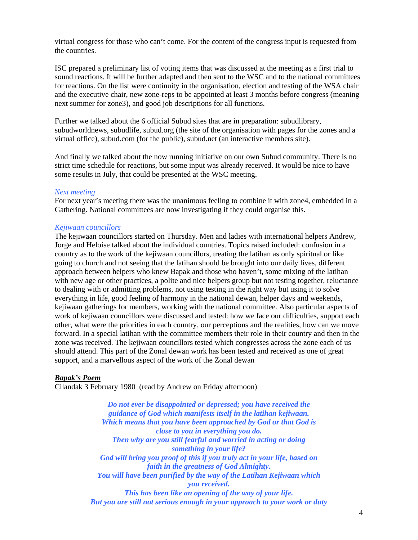virtual congress for those who can't come. For the content of the congress input is requested from the countries.

ISC prepared a preliminary list of voting items that was discussed at the meeting as a first trial to sound reactions. It will be further adapted and then sent to the WSC and to the national committees for reactions. On the list were continuity in the organisation, election and testing of the WSA chair and the executive chair, new zone-reps to be appointed at least 3 months before congress (meaning next summer for zone3), and good job descriptions for all functions.

Further we talked about the 6 official Subud sites that are in preparation: subudlibrary, subudworldnews, subudlife, subud.org (the site of the organisation with pages for the zones and a virtual office), subud.com (for the public), subud.net (an interactive members site).

And finally we talked about the now running initiative on our own Subud community. There is no strict time schedule for reactions, but some input was already received. It would be nice to have some results in July, that could be presented at the WSC meeting.

#### *Next meeting*

For next year's meeting there was the unanimous feeling to combine it with zone4, embedded in a Gathering. National committees are now investigating if they could organise this.

## *Kejiwaan councillors*

The kejiwaan councillors started on Thursday. Men and ladies with international helpers Andrew, Jorge and Heloise talked about the individual countries. Topics raised included: confusion in a country as to the work of the kejiwaan councillors, treating the latihan as only spiritual or like going to church and not seeing that the latihan should be brought into our daily lives, different approach between helpers who knew Bapak and those who haven't, some mixing of the latihan with new age or other practices, a polite and nice helpers group but not testing together, reluctance to dealing with or admitting problems, not using testing in the right way but using it to solve everything in life, good feeling of harmony in the national dewan, helper days and weekends, kejiwaan gatherings for members, working with the national committee. Also particular aspects of work of kejiwaan councillors were discussed and tested: how we face our difficulties, support each other, what were the priorities in each country, our perceptions and the realities, how can we move forward. In a special latihan with the committee members their role in their country and then in the zone was received. The kejiwaan councillors tested which congresses across the zone each of us should attend. This part of the Zonal dewan work has been tested and received as one of great support, and a marvellous aspect of the work of the Zonal dewan

## *Bapak's Poem*

Cilandak 3 February 1980 (read by Andrew on Friday afternoon)

*Do not ever be disappointed or depressed; you have received the guidance of God which manifests itself in the latihan kejiwaan. Which means that you have been approached by God or that God is close to you in everything you do. Then why are you still fearful and worried in acting or doing something in your life? God will bring you proof of this if you truly act in your life, based on faith in the greatness of God Almighty. You will have been purified by the way of the Latihan Kejiwaan which you received. This has been like an opening of the way of your life. But you are still not serious enough in your approach to your work or duty*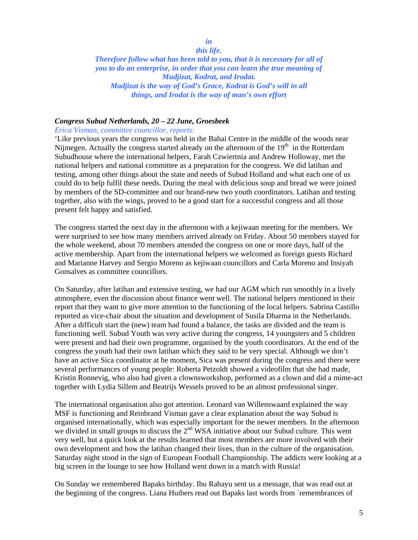# *in*

## *this life. Therefore follow what has been told to you, that it is necessary for all of you to do an enterprise, in order that you can learn the true meaning of Mudjizat, Kodrat, and Irodat. Madjizat is the way of God's Grace, Kodrat is God's will in all things, and Irodat is the way of man's own effort*

## *Congress Subud Netherlands, 20 – 22 June, Groesbeek*

*Erica Visman, committee councillor, reports:* 

'Like previous years the congress was held in the Bahai Centre in the middle of the woods near Nijmegen. Actually the congress started already on the afternoon of the  $19<sup>th</sup>$  in the Rotterdam Subudhouse where the international helpers, Farah Czwiertnia and Andrew Holloway, met the national helpers and national committee as a preparation for the congress. We did latihan and testing, among other things about the state and needs of Subud Holland and what each one of us could do to help fulfil these needs. During the meal with delicious soup and bread we were joined by members of the SD-committee and our brand-new two youth coordinators. Latihan and testing together, also with the wings, proved to be a good start for a successful congress and all those present felt happy and satisfied.

The congress started the next day in the afternoon with a kejiwaan meeting for the members. We were surprised to see how many members arrived already on Friday. About 50 members stayed for the whole weekend, about 70 members attended the congress on one or more days, half of the active membership. Apart from the international helpers we welcomed as foreign guests Richard and Marianne Harvey and Sergio Moreno as kejiwaan councillors and Carla Moreno and Insiyah Gonsalves as committee councillors.

On Saturday, after latihan and extensive testing, we had our AGM which run smoothly in a lively atmosphere, even the discussion about finance went well. The national helpers mentioned in their report that they want to give more attention to the functioning of the local helpers. Sabrina Castillo reported as vice-chair about the situation and development of Susila Dharma in the Netherlands. After a difficult start the (new) team had found a balance, the tasks are divided and the team is functioning well. Subud Youth was very active during the congress, 14 youngsters and 5 children were present and had their own programme, organised by the youth coordinators. At the end of the congress the youth had their own latihan which they said to be very special. Although we don't have an active Sica coordinator at he moment, Sica was present during the congress and there were several performances of young people: Roberta Petzoldt showed a videofilm that she had made, Kristin Ronnevig, who also had given a clownsworkshop, performed as a clown and did a mime-act together with Lydia Sillem and Beatrijs Wessels proved to be an almost professional singer.

The international organisation also got attention. Leonard van Willenswaard explained the way MSF is functioning and Reinbrand Visman gave a clear explanation about the way Subud is organised internationally, which was especially important for the newer members. In the afternoon we divided in small groups to discuss the  $2<sup>nd</sup> WSA$  initiative about our Subud culture. This went very well, but a quick look at the results learned that most members are more involved with their own development and how the latihan changed their lives, than in the culture of the organisation. Saturday night stood in the sign of European Football Championship. The addicts were looking at a big screen in the lounge to see how Holland went down in a match with Russia!

On Sunday we remembered Bapaks birthday. Ibu Rahayu sent us a message, that was read out at the beginning of the congress. Liana Huibers read out Bapaks last words from ´remembrances of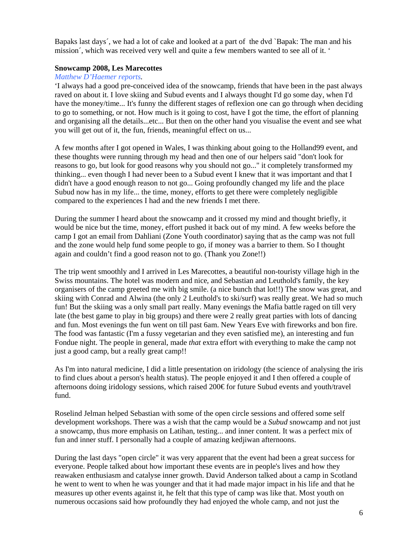Bapaks last days´, we had a lot of cake and looked at a part of the dvd `Bapak: The man and his mission´, which was received very well and quite a few members wanted to see all of it. '

## **Snowcamp 2008, Les Marecottes**

## *Matthew D'Haemer reports.*

'I always had a good pre-conceived idea of the snowcamp, friends that have been in the past always raved on about it. I love skiing and Subud events and I always thought I'd go some day, when I'd have the money/time... It's funny the different stages of reflexion one can go through when deciding to go to something, or not. How much is it going to cost, have I got the time, the effort of planning and organising all the details...etc... But then on the other hand you visualise the event and see what you will get out of it, the fun, friends, meaningful effect on us...

A few months after I got opened in Wales, I was thinking about going to the Holland99 event, and these thoughts were running through my head and then one of our helpers said "don't look for reasons to go, but look for good reasons why you should not go..." it completely transformed my thinking... even though I had never been to a Subud event I knew that it was important and that I didn't have a good enough reason to not go... Going profoundly changed my life and the place Subud now has in my life... the time, money, efforts to get there were completely negligible compared to the experiences I had and the new friends I met there.

During the summer I heard about the snowcamp and it crossed my mind and thought briefly, it would be nice but the time, money, effort pushed it back out of my mind. A few weeks before the camp I got an email from Dahliani (Zone Youth coordinator) saying that as the camp was not full and the zone would help fund some people to go, if money was a barrier to them. So I thought again and couldn't find a good reason not to go. (Thank you Zone!!)

The trip went smoothly and I arrived in Les Marecottes, a beautiful non-touristy village high in the Swiss mountains. The hotel was modern and nice, and Sebastian and Leuthold's family, the key organisers of the camp greeted me with big smile. (a nice bunch that lot!!) The snow was great, and skiing with Conrad and Alwina (the only 2 Leuthold's to ski/surf) was really great. We had so much fun! But the skiing was a only small part really. Many evenings the Mafia battle raged on till very late (the best game to play in big groups) and there were 2 really great parties with lots of dancing and fun. Most evenings the fun went on till past 6am. New Years Eve with fireworks and bon fire. The food was fantastic (I'm a fussy vegetarian and they even satisfied me), an interesting and fun Fondue night. The people in general, made *that* extra effort with everything to make the camp not just a good camp, but a really great camp!!

As I'm into natural medicine, I did a little presentation on iridology (the science of analysing the iris to find clues about a person's health status). The people enjoyed it and I then offered a couple of afternoons doing iridology sessions, which raised 200€ for future Subud events and youth/travel fund.

Roselind Jelman helped Sebastian with some of the open circle sessions and offered some self development workshops. There was a wish that the camp would be a *Subud* snowcamp and not just a snowcamp, thus more emphasis on Latihan, testing... and inner content. It was a perfect mix of fun and inner stuff. I personally had a couple of amazing kedjiwan afternoons.

During the last days "open circle" it was very apparent that the event had been a great success for everyone. People talked about how important these events are in people's lives and how they reawaken enthusiasm and catalyse inner growth. David Anderson talked about a camp in Scotland he went to went to when he was younger and that it had made major impact in his life and that he measures up other events against it, he felt that this type of camp was like that. Most youth on numerous occasions said how profoundly they had enjoyed the whole camp, and not just the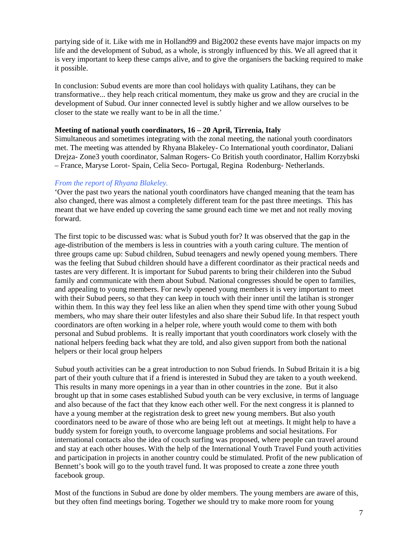partying side of it. Like with me in Holland99 and Big2002 these events have major impacts on my life and the development of Subud, as a whole, is strongly influenced by this. We all agreed that it is very important to keep these camps alive, and to give the organisers the backing required to make it possible.

In conclusion: Subud events are more than cool holidays with quality Latihans, they can be transformative... they help reach critical momentum, they make us grow and they are crucial in the development of Subud. Our inner connected level is subtly higher and we allow ourselves to be closer to the state we really want to be in all the time.'

### **Meeting of national youth coordinators, 16 – 20 April, Tirrenia, Italy**

Simultaneous and sometimes integrating with the zonal meeting, the national youth coordinators met. The meeting was attended by Rhyana Blakeley- Co International youth coordinator, Daliani Drejza- Zone3 youth coordinator, Salman Rogers- Co British youth coordinator, Hallim Korzybski – France, Maryse Lorot- Spain, Celia Seco- Portugal, Regina Rodenburg- Netherlands.

## *From the report of Rhyana Blakeley.*

'Over the past two years the national youth coordinators have changed meaning that the team has also changed, there was almost a completely different team for the past three meetings. This has meant that we have ended up covering the same ground each time we met and not really moving forward.

The first topic to be discussed was: what is Subud youth for? It was observed that the gap in the age-distribution of the members is less in countries with a youth caring culture. The mention of three groups came up: Subud children, Subud teenagers and newly opened young members. There was the feeling that Subud children should have a different coordinator as their practical needs and tastes are very different. It is important for Subud parents to bring their childeren into the Subud family and communicate with them about Subud. National congresses should be open to families, and appealing to young members. For newly opened young members it is very important to meet with their Subud peers, so that they can keep in touch with their inner until the latihan is stronger within them. In this way they feel less like an alien when they spend time with other young Subud members, who may share their outer lifestyles and also share their Subud life. In that respect youth coordinators are often working in a helper role, where youth would come to them with both personal and Subud problems. It is really important that youth coordinators work closely with the national helpers feeding back what they are told, and also given support from both the national helpers or their local group helpers

Subud youth activities can be a great introduction to non Subud friends. In Subud Britain it is a big part of their youth culture that if a friend is interested in Subud they are taken to a youth weekend. This results in many more openings in a year than in other countries in the zone. But it also brought up that in some cases established Subud youth can be very exclusive, in terms of language and also because of the fact that they know each other well. For the next congress it is planned to have a young member at the registration desk to greet new young members. But also youth coordinators need to be aware of those who are being left out at meetings. It might help to have a buddy system for foreign youth, to overcome language problems and social hesitations. For international contacts also the idea of couch surfing was proposed, where people can travel around and stay at each other houses. With the help of the International Youth Travel Fund youth activities and participation in projects in another country could be stimulated. Profit of the new publication of Bennett's book will go to the youth travel fund. It was proposed to create a zone three youth facebook group.

Most of the functions in Subud are done by older members. The young members are aware of this, but they often find meetings boring. Together we should try to make more room for young